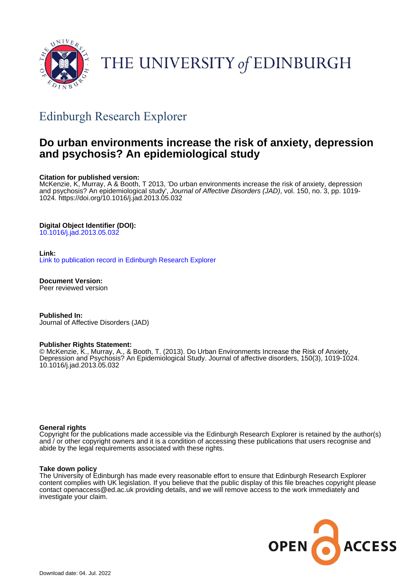

# THE UNIVERSITY of EDINBURGH

## Edinburgh Research Explorer

## **Do urban environments increase the risk of anxiety, depression and psychosis? An epidemiological study**

#### **Citation for published version:**

McKenzie, K, Murray, A & Booth, T 2013, 'Do urban environments increase the risk of anxiety, depression and psychosis? An epidemiological study', Journal of Affective Disorders (JAD), vol. 150, no. 3, pp. 1019-1024. <https://doi.org/10.1016/j.jad.2013.05.032>

### **Digital Object Identifier (DOI):**

[10.1016/j.jad.2013.05.032](https://doi.org/10.1016/j.jad.2013.05.032)

#### **Link:**

[Link to publication record in Edinburgh Research Explorer](https://www.research.ed.ac.uk/en/publications/f6656b03-1d4d-45f2-8a3a-53f778a25361)

**Document Version:** Peer reviewed version

**Published In:** Journal of Affective Disorders (JAD)

#### **Publisher Rights Statement:**

© McKenzie, K., Murray, A., & Booth, T. (2013). Do Urban Environments Increase the Risk of Anxiety, Depression and Psychosis? An Epidemiological Study. Journal of affective disorders, 150(3), 1019-1024. 10.1016/j.jad.2013.05.032

#### **General rights**

Copyright for the publications made accessible via the Edinburgh Research Explorer is retained by the author(s) and / or other copyright owners and it is a condition of accessing these publications that users recognise and abide by the legal requirements associated with these rights.

#### **Take down policy**

The University of Edinburgh has made every reasonable effort to ensure that Edinburgh Research Explorer content complies with UK legislation. If you believe that the public display of this file breaches copyright please contact openaccess@ed.ac.uk providing details, and we will remove access to the work immediately and investigate your claim.

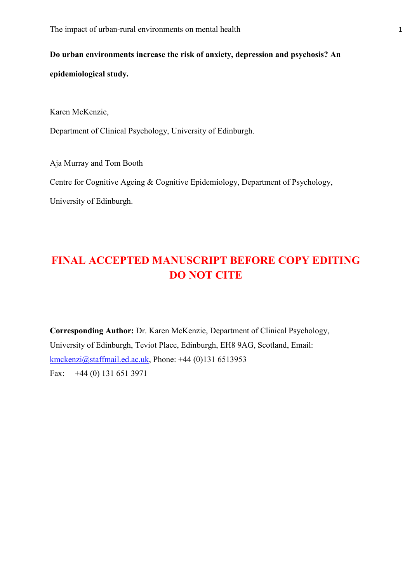**Do urban environments increase the risk of anxiety, depression and psychosis? An epidemiological study.**

Karen McKenzie,

Department of Clinical Psychology, University of Edinburgh.

Aja Murray and Tom Booth

Centre for Cognitive Ageing & Cognitive Epidemiology, Department of Psychology,

University of Edinburgh.

## **FINAL ACCEPTED MANUSCRIPT BEFORE COPY EDITING DO NOT CITE**

**Corresponding Author:** Dr. Karen McKenzie, Department of Clinical Psychology, University of Edinburgh, Teviot Place, Edinburgh, EH8 9AG, Scotland, Email: [kmckenzi@staffmail.ed.ac.uk,](mailto:kmckenzi@staffmail.ed.ac.uk) Phone: +44 (0)131 6513953 Fax: +44 (0) 131 651 3971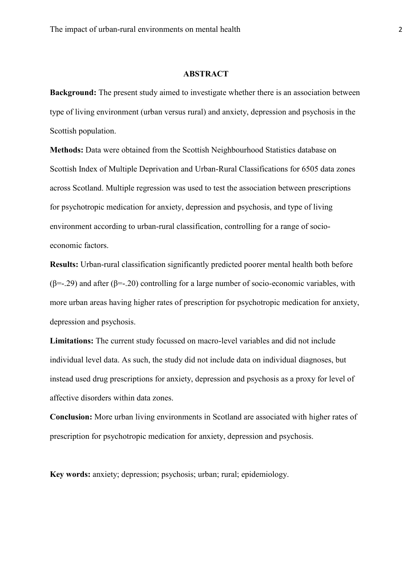## **ABSTRACT**

**Background:** The present study aimed to investigate whether there is an association between type of living environment (urban versus rural) and anxiety, depression and psychosis in the Scottish population.

**Methods:** Data were obtained from the Scottish Neighbourhood Statistics database on Scottish Index of Multiple Deprivation and Urban-Rural Classifications for 6505 data zones across Scotland. Multiple regression was used to test the association between prescriptions for psychotropic medication for anxiety, depression and psychosis, and type of living environment according to urban-rural classification, controlling for a range of socioeconomic factors.

**Results:** Urban-rural classification significantly predicted poorer mental health both before  $(\beta = -129)$  and after  $(\beta = -120)$  controlling for a large number of socio-economic variables, with more urban areas having higher rates of prescription for psychotropic medication for anxiety, depression and psychosis.

**Limitations:** The current study focussed on macro-level variables and did not include individual level data. As such, the study did not include data on individual diagnoses, but instead used drug prescriptions for anxiety, depression and psychosis as a proxy for level of affective disorders within data zones.

**Conclusion:** More urban living environments in Scotland are associated with higher rates of prescription for psychotropic medication for anxiety, depression and psychosis.

**Key words:** anxiety; depression; psychosis; urban; rural; epidemiology.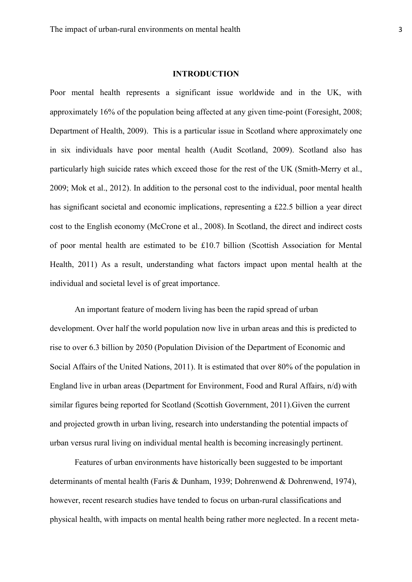### **INTRODUCTION**

Poor mental health represents a significant issue worldwide and in the UK, with approximately 16% of the population being affected at any given time-point (Foresight, 2008; Department of Health, 2009). This is a particular issue in Scotland where approximately one in six individuals have poor mental health (Audit Scotland, 2009). Scotland also has particularly high suicide rates which exceed those for the rest of the UK (Smith-Merry et al., 2009; Mok et al., 2012). In addition to the personal cost to the individual, poor mental health has significant societal and economic implications, representing a £22.5 billion a year direct cost to the English economy (McCrone et al., 2008). In Scotland, the direct and indirect costs of poor mental health are estimated to be £10.7 billion (Scottish Association for Mental Health, 2011) As a result, understanding what factors impact upon mental health at the individual and societal level is of great importance.

An important feature of modern living has been the rapid spread of urban development. Over half the world population now live in urban areas and this is predicted to rise to over 6.3 billion by 2050 (Population Division of the Department of Economic and Social Affairs of the United Nations, 2011). It is estimated that over 80% of the population in England live in urban areas (Department for Environment, Food and Rural Affairs, n/d) with similar figures being reported for Scotland (Scottish Government, 2011).Given the current and projected growth in urban living, research into understanding the potential impacts of urban versus rural living on individual mental health is becoming increasingly pertinent.

Features of urban environments have historically been suggested to be important determinants of mental health (Faris & Dunham, 1939; Dohrenwend & Dohrenwend, 1974), however, recent research studies have tended to focus on urban-rural classifications and physical health, with impacts on mental health being rather more neglected. In a recent meta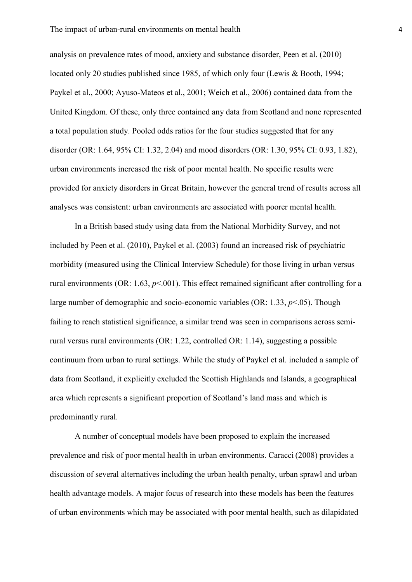analysis on prevalence rates of mood, anxiety and substance disorder, Peen et al. (2010) located only 20 studies published since 1985, of which only four (Lewis & Booth, 1994; Paykel et al., 2000; Ayuso-Mateos et al., 2001; Weich et al., 2006) contained data from the United Kingdom. Of these, only three contained any data from Scotland and none represented a total population study. Pooled odds ratios for the four studies suggested that for any disorder (OR: 1.64, 95% CI: 1.32, 2.04) and mood disorders (OR: 1.30, 95% CI: 0.93, 1.82), urban environments increased the risk of poor mental health. No specific results were provided for anxiety disorders in Great Britain, however the general trend of results across all analyses was consistent: urban environments are associated with poorer mental health.

In a British based study using data from the National Morbidity Survey, and not included by Peen et al. (2010), Paykel et al. (2003) found an increased risk of psychiatric morbidity (measured using the Clinical Interview Schedule) for those living in urban versus rural environments (OR: 1.63, *p*<.001). This effect remained significant after controlling for a large number of demographic and socio-economic variables (OR: 1.33, *p*<.05). Though failing to reach statistical significance, a similar trend was seen in comparisons across semirural versus rural environments (OR: 1.22, controlled OR: 1.14), suggesting a possible continuum from urban to rural settings. While the study of Paykel et al. included a sample of data from Scotland, it explicitly excluded the Scottish Highlands and Islands, a geographical area which represents a significant proportion of Scotland's land mass and which is predominantly rural.

A number of conceptual models have been proposed to explain the increased prevalence and risk of poor mental health in urban environments. Caracci (2008) provides a discussion of several alternatives including the urban health penalty, urban sprawl and urban health advantage models. A major focus of research into these models has been the features of urban environments which may be associated with poor mental health, such as dilapidated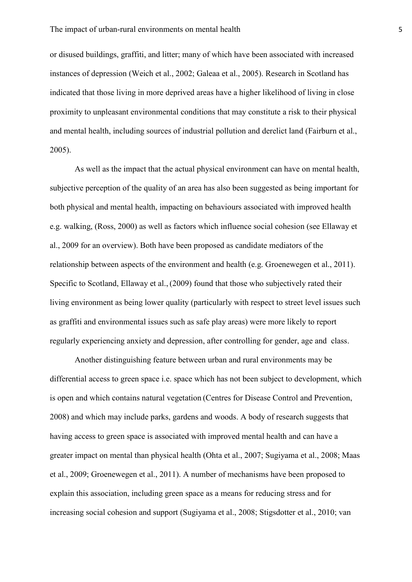or disused buildings, graffiti, and litter; many of which have been associated with increased instances of depression (Weich et al., 2002; Galeaa et al., 2005). Research in Scotland has indicated that those living in more deprived areas have a higher likelihood of living in close proximity to unpleasant environmental conditions that may constitute a risk to their physical and mental health, including sources of industrial pollution and derelict land (Fairburn et al., 2005).

As well as the impact that the actual physical environment can have on mental health, subjective perception of the quality of an area has also been suggested as being important for both physical and mental health, impacting on behaviours associated with improved health e.g. walking, (Ross, 2000) as well as factors which influence social cohesion (see Ellaway et al., 2009 for an overview). Both have been proposed as candidate mediators of the relationship between aspects of the environment and health (e.g. Groenewegen et al., 2011). Specific to Scotland, Ellaway et al., (2009) found that those who subjectively rated their living environment as being lower quality (particularly with respect to street level issues such as graffiti and environmental issues such as safe play areas) were more likely to report regularly experiencing anxiety and depression, after controlling for gender, age and class.

Another distinguishing feature between urban and rural environments may be differential access to green space i.e. space which has not been subject to development, which is open and which contains natural vegetation (Centres for Disease Control and Prevention, 2008) and which may include parks, gardens and woods. A body of research suggests that having access to green space is associated with improved mental health and can have a greater impact on mental than physical health (Ohta et al., 2007; Sugiyama et al., 2008; Maas et al., 2009; Groenewegen et al., 2011). A number of mechanisms have been proposed to explain this association, including green space as a means for reducing stress and for increasing social cohesion and support (Sugiyama et al., 2008; Stigsdotter et al., 2010; van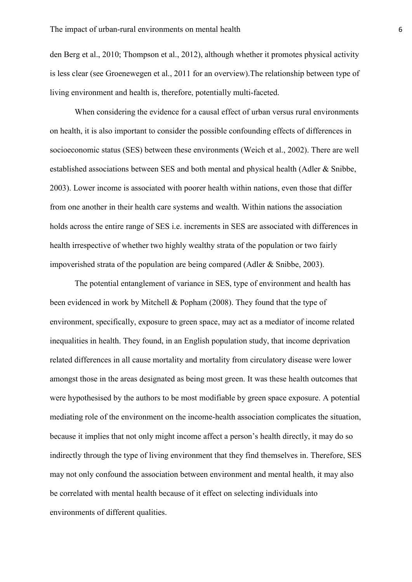den Berg et al., 2010; Thompson et al., 2012), although whether it promotes physical activity is less clear (see Groenewegen et al., 2011 for an overview).The relationship between type of living environment and health is, therefore, potentially multi-faceted.

When considering the evidence for a causal effect of urban versus rural environments on health, it is also important to consider the possible confounding effects of differences in socioeconomic status (SES) between these environments (Weich et al., 2002). There are well established associations between SES and both mental and physical health (Adler & Snibbe, 2003). Lower income is associated with poorer health within nations, even those that differ from one another in their health care systems and wealth. Within nations the association holds across the entire range of SES i.e. increments in SES are associated with differences in health irrespective of whether two highly wealthy strata of the population or two fairly impoverished strata of the population are being compared (Adler & Snibbe, 2003).

The potential entanglement of variance in SES, type of environment and health has been evidenced in work by Mitchell & Popham (2008). They found that the type of environment, specifically, exposure to green space, may act as a mediator of income related inequalities in health. They found, in an English population study, that income deprivation related differences in all cause mortality and mortality from circulatory disease were lower amongst those in the areas designated as being most green. It was these health outcomes that were hypothesised by the authors to be most modifiable by green space exposure. A potential mediating role of the environment on the income-health association complicates the situation, because it implies that not only might income affect a person's health directly, it may do so indirectly through the type of living environment that they find themselves in. Therefore, SES may not only confound the association between environment and mental health, it may also be correlated with mental health because of it effect on selecting individuals into environments of different qualities.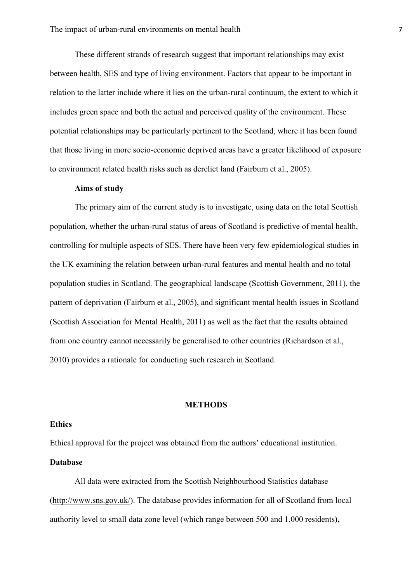These different strands of research suggest that important relationships may exist between health, SES and type of living environment. Factors that appear to be important in relation to the latter include where it lies on the urban-rural continuum, the extent to which it includes green space and both the actual and perceived quality of the environment. These potential relationships may be particularly pertinent to the Scotland, where it has been found that those living in more socio-economic deprived areas have a greater likelihood of exposure to environment related health risks such as derelict land (Fairburn et al., 2005).

## **Aims of study**

The primary aim of the current study is to investigate, using data on the total Scottish population, whether the urban-rural status of areas of Scotland is predictive of mental health, controlling for multiple aspects of SES. There have been very few epidemiological studies in the UK examining the relation between urban-rural features and mental health and no total population studies in Scotland. The geographical landscape (Scottish Government, 2011), the pattern of deprivation (Fairburn et al., 2005), and significant mental health issues in Scotland (Scottish Association for Mental Health, 2011) as well as the fact that the results obtained from one country cannot necessarily be generalised to other countries (Richardson et al., 2010) provides a rationale for conducting such research in Scotland.

## **METHODS**

### **Ethics**

Ethical approval for the project was obtained from the authors' educational institution.

## **Database**

All data were extracted from the Scottish Neighbourhood Statistics database [\(http://www.sns.gov.uk/\)](http://www.sns.gov.uk/). The database provides information for all of Scotland from local authority level to small data zone level (which range between 500 and 1,000 residents**),**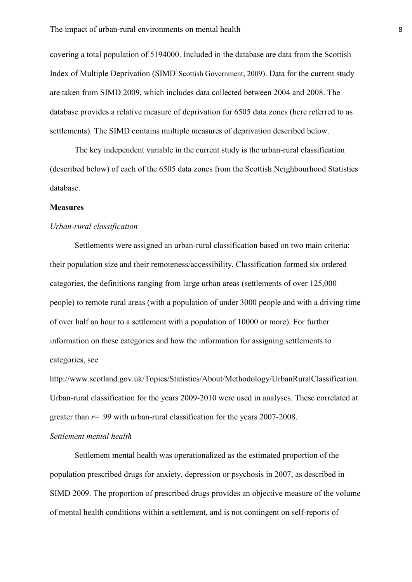covering a total population of 5194000. Included in the database are data from the Scottish Index of Multiple Deprivation (SIMD: Scottish Government, 2009). Data for the current study are taken from SIMD 2009, which includes data collected between 2004 and 2008. The database provides a relative measure of deprivation for 6505 data zones (here referred to as settlements). The SIMD contains multiple measures of deprivation described below.

The key independent variable in the current study is the urban-rural classification (described below) of each of the 6505 data zones from the Scottish Neighbourhood Statistics database.

#### **Measures**

## *Urban-rural classification*

Settlements were assigned an urban-rural classification based on two main criteria: their population size and their remoteness/accessibility. Classification formed six ordered categories, the definitions ranging from large urban areas (settlements of over 125,000 people) to remote rural areas (with a population of under 3000 people and with a driving time of over half an hour to a settlement with a population of 10000 or more). For further information on these categories and how the information for assigning settlements to categories, see

http://www.scotland.gov.uk/Topics/Statistics/About/Methodology/UrbanRuralClassification. Urban-rural classification for the years 2009-2010 were used in analyses. These correlated at greater than *r*= .99 with urban-rural classification for the years 2007-2008.

## *Settlement mental health*

Settlement mental health was operationalized as the estimated proportion of the population prescribed drugs for anxiety, depression or psychosis in 2007, as described in SIMD 2009. The proportion of prescribed drugs provides an objective measure of the volume of mental health conditions within a settlement, and is not contingent on self-reports of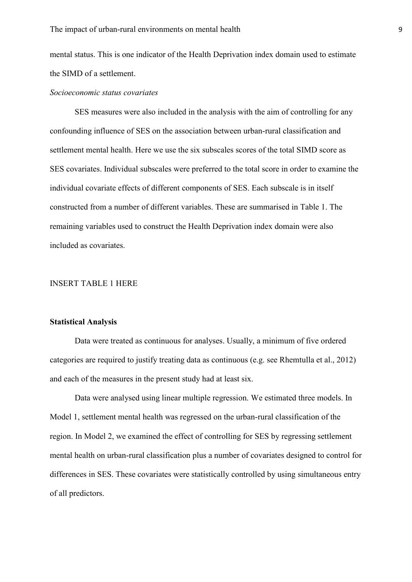mental status. This is one indicator of the Health Deprivation index domain used to estimate the SIMD of a settlement.

#### *Socioeconomic status covariates*

SES measures were also included in the analysis with the aim of controlling for any confounding influence of SES on the association between urban-rural classification and settlement mental health. Here we use the six subscales scores of the total SIMD score as SES covariates. Individual subscales were preferred to the total score in order to examine the individual covariate effects of different components of SES. Each subscale is in itself constructed from a number of different variables. These are summarised in Table 1. The remaining variables used to construct the Health Deprivation index domain were also included as covariates.

## INSERT TABLE 1 HERE

## **Statistical Analysis**

Data were treated as continuous for analyses. Usually, a minimum of five ordered categories are required to justify treating data as continuous (e.g. see Rhemtulla et al., 2012) and each of the measures in the present study had at least six.

Data were analysed using linear multiple regression. We estimated three models. In Model 1, settlement mental health was regressed on the urban-rural classification of the region. In Model 2, we examined the effect of controlling for SES by regressing settlement mental health on urban-rural classification plus a number of covariates designed to control for differences in SES. These covariates were statistically controlled by using simultaneous entry of all predictors.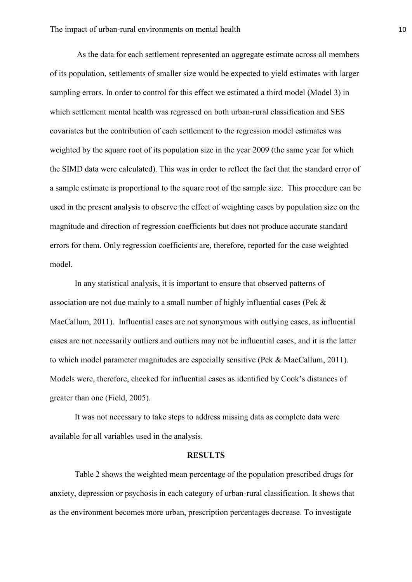As the data for each settlement represented an aggregate estimate across all members of its population, settlements of smaller size would be expected to yield estimates with larger sampling errors. In order to control for this effect we estimated a third model (Model 3) in which settlement mental health was regressed on both urban-rural classification and SES covariates but the contribution of each settlement to the regression model estimates was weighted by the square root of its population size in the year 2009 (the same year for which the SIMD data were calculated). This was in order to reflect the fact that the standard error of a sample estimate is proportional to the square root of the sample size. This procedure can be used in the present analysis to observe the effect of weighting cases by population size on the magnitude and direction of regression coefficients but does not produce accurate standard errors for them. Only regression coefficients are, therefore, reported for the case weighted model.

In any statistical analysis, it is important to ensure that observed patterns of association are not due mainly to a small number of highly influential cases (Pek & MacCallum, 2011). Influential cases are not synonymous with outlying cases, as influential cases are not necessarily outliers and outliers may not be influential cases, and it is the latter to which model parameter magnitudes are especially sensitive (Pek & MacCallum, 2011). Models were, therefore, checked for influential cases as identified by Cook's distances of greater than one (Field, 2005).

It was not necessary to take steps to address missing data as complete data were available for all variables used in the analysis.

#### **RESULTS**

Table 2 shows the weighted mean percentage of the population prescribed drugs for anxiety, depression or psychosis in each category of urban-rural classification. It shows that as the environment becomes more urban, prescription percentages decrease. To investigate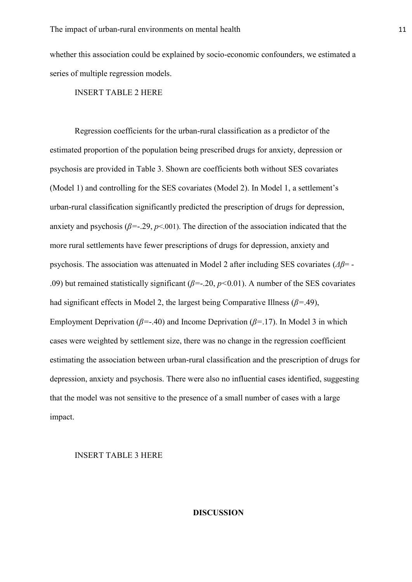whether this association could be explained by socio-economic confounders, we estimated a series of multiple regression models.

INSERT TABLE 2 HERE

Regression coefficients for the urban-rural classification as a predictor of the estimated proportion of the population being prescribed drugs for anxiety, depression or psychosis are provided in Table 3. Shown are coefficients both without SES covariates (Model 1) and controlling for the SES covariates (Model 2). In Model 1, a settlement's urban-rural classification significantly predicted the prescription of drugs for depression, anxiety and psychosis ( $\beta$ =-.29,  $p$ <.001). The direction of the association indicated that the more rural settlements have fewer prescriptions of drugs for depression, anxiety and psychosis. The association was attenuated in Model 2 after including SES covariates (*Δβ*= - .09) but remained statistically significant (*β=*-.20, *p<*0.01). A number of the SES covariates had significant effects in Model 2, the largest being Comparative Illness (*β=*.49), Employment Deprivation (*β=*-.40) and Income Deprivation (*β=*.17). In Model 3 in which cases were weighted by settlement size, there was no change in the regression coefficient estimating the association between urban-rural classification and the prescription of drugs for depression, anxiety and psychosis. There were also no influential cases identified, suggesting that the model was not sensitive to the presence of a small number of cases with a large impact.

#### INSERT TABLE 3 HERE

## **DISCUSSION**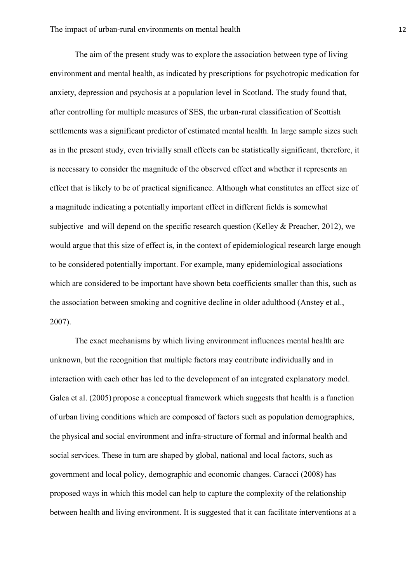The aim of the present study was to explore the association between type of living environment and mental health, as indicated by prescriptions for psychotropic medication for anxiety, depression and psychosis at a population level in Scotland. The study found that, after controlling for multiple measures of SES, the urban-rural classification of Scottish settlements was a significant predictor of estimated mental health. In large sample sizes such as in the present study, even trivially small effects can be statistically significant, therefore, it is necessary to consider the magnitude of the observed effect and whether it represents an effect that is likely to be of practical significance. Although what constitutes an effect size of a magnitude indicating a potentially important effect in different fields is somewhat subjective and will depend on the specific research question (Kelley & Preacher, 2012), we would argue that this size of effect is, in the context of epidemiological research large enough to be considered potentially important. For example, many epidemiological associations which are considered to be important have shown beta coefficients smaller than this, such as the association between smoking and cognitive decline in older adulthood (Anstey et al., 2007).

The exact mechanisms by which living environment influences mental health are unknown, but the recognition that multiple factors may contribute individually and in interaction with each other has led to the development of an integrated explanatory model. Galea et al. (2005) propose a conceptual framework which suggests that health is a function of urban living conditions which are composed of factors such as population demographics, the physical and social environment and infra-structure of formal and informal health and social services. These in turn are shaped by global, national and local factors, such as government and local policy, demographic and economic changes. Caracci (2008) has proposed ways in which this model can help to capture the complexity of the relationship between health and living environment. It is suggested that it can facilitate interventions at a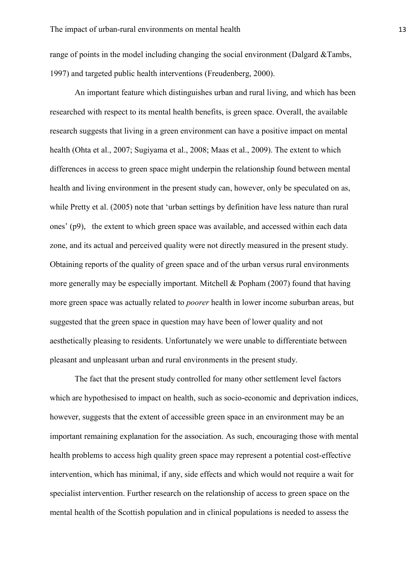range of points in the model including changing the social environment (Dalgard &Tambs, 1997) and targeted public health interventions (Freudenberg, 2000).

An important feature which distinguishes urban and rural living, and which has been researched with respect to its mental health benefits, is green space. Overall, the available research suggests that living in a green environment can have a positive impact on mental health (Ohta et al., 2007; Sugiyama et al., 2008; Maas et al., 2009). The extent to which differences in access to green space might underpin the relationship found between mental health and living environment in the present study can, however, only be speculated on as, while Pretty et al. (2005) note that 'urban settings by definition have less nature than rural ones' (p9), the extent to which green space was available, and accessed within each data zone, and its actual and perceived quality were not directly measured in the present study. Obtaining reports of the quality of green space and of the urban versus rural environments more generally may be especially important. Mitchell & Popham (2007) found that having more green space was actually related to *poorer* health in lower income suburban areas, but suggested that the green space in question may have been of lower quality and not aesthetically pleasing to residents. Unfortunately we were unable to differentiate between pleasant and unpleasant urban and rural environments in the present study.

The fact that the present study controlled for many other settlement level factors which are hypothesised to impact on health, such as socio-economic and deprivation indices, however, suggests that the extent of accessible green space in an environment may be an important remaining explanation for the association. As such, encouraging those with mental health problems to access high quality green space may represent a potential cost-effective intervention, which has minimal, if any, side effects and which would not require a wait for specialist intervention. Further research on the relationship of access to green space on the mental health of the Scottish population and in clinical populations is needed to assess the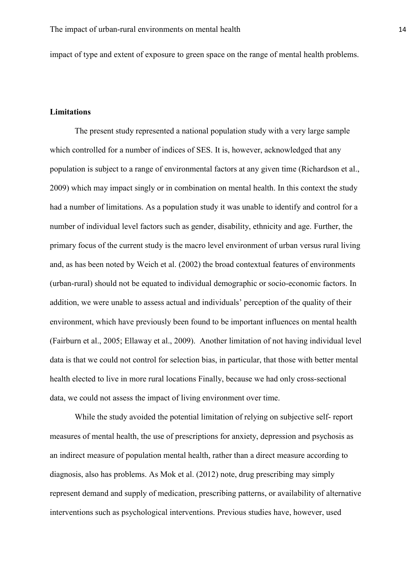impact of type and extent of exposure to green space on the range of mental health problems.

## **Limitations**

The present study represented a national population study with a very large sample which controlled for a number of indices of SES. It is, however, acknowledged that any population is subject to a range of environmental factors at any given time (Richardson et al., 2009) which may impact singly or in combination on mental health. In this context the study had a number of limitations. As a population study it was unable to identify and control for a number of individual level factors such as gender, disability, ethnicity and age. Further, the primary focus of the current study is the macro level environment of urban versus rural living and, as has been noted by Weich et al. (2002) the broad contextual features of environments (urban-rural) should not be equated to individual demographic or socio-economic factors. In addition, we were unable to assess actual and individuals' perception of the quality of their environment, which have previously been found to be important influences on mental health (Fairburn et al., 2005; Ellaway et al., 2009). Another limitation of not having individual level data is that we could not control for selection bias, in particular, that those with better mental health elected to live in more rural locations Finally, because we had only cross-sectional data, we could not assess the impact of living environment over time.

While the study avoided the potential limitation of relying on subjective self- report measures of mental health, the use of prescriptions for anxiety, depression and psychosis as an indirect measure of population mental health, rather than a direct measure according to diagnosis, also has problems. As Mok et al. (2012) note, drug prescribing may simply represent demand and supply of medication, prescribing patterns, or availability of alternative interventions such as psychological interventions. Previous studies have, however, used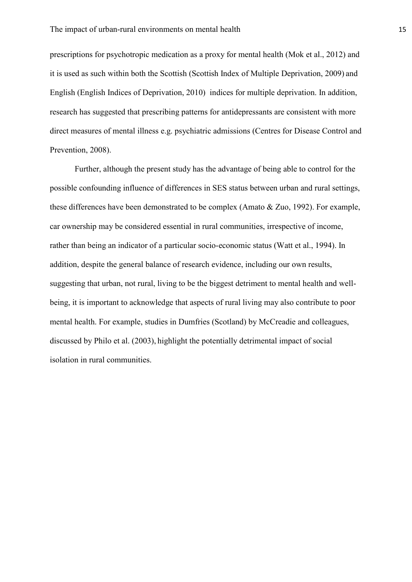prescriptions for psychotropic medication as a proxy for mental health (Mok et al., 2012) and it is used as such within both the Scottish (Scottish Index of Multiple Deprivation, 2009) and English (English Indices of Deprivation, 2010) indices for multiple deprivation. In addition, research has suggested that prescribing patterns for antidepressants are consistent with more direct measures of mental illness e.g. psychiatric admissions (Centres for Disease Control and Prevention, 2008).

Further, although the present study has the advantage of being able to control for the possible confounding influence of differences in SES status between urban and rural settings, these differences have been demonstrated to be complex (Amato & Zuo, 1992). For example, car ownership may be considered essential in rural communities, irrespective of income, rather than being an indicator of a particular socio-economic status (Watt et al., 1994). In addition, despite the general balance of research evidence, including our own results, suggesting that urban, not rural, living to be the biggest detriment to mental health and wellbeing, it is important to acknowledge that aspects of rural living may also contribute to poor mental health. For example, studies in Dumfries (Scotland) by McCreadie and colleagues, discussed by Philo et al. (2003), highlight the potentially detrimental impact of social isolation in rural communities.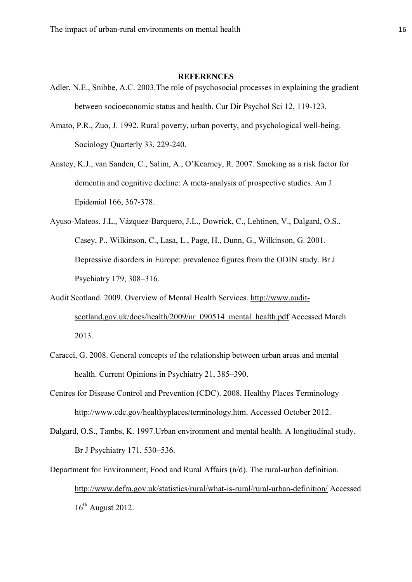## **REFERENCES**

- Adler, N.E., Snibbe, A.C. 2003.The role of psychosocial processes in explaining the gradient between socioeconomic status and health. Cur Dir Psychol Sci 12, 119-123.
- Amato, P.R., Zuo, J. 1992. Rural poverty, urban poverty, and psychological well-being. Sociology Quarterly 33, 229-240.
- Anstey, K.J., van Sanden, C., Salim, A., O'Kearney, R. 2007. Smoking as a risk factor for dementia and cognitive decline: A meta-analysis of prospective studies. Am J Epidemiol 166, 367-378.
- [Ayuso-Mateos,](http://www.ncbi.nlm.nih.gov/pubmed?term=Ayuso-Mateos%20JL%5BAuthor%5D&cauthor=true&cauthor_uid=11581110) J.L., [Vázquez-Barquero,](http://www.ncbi.nlm.nih.gov/pubmed?term=V%C3%A1zquez-Barquero%20JL%5BAuthor%5D&cauthor=true&cauthor_uid=11581110) J.L., [Dowrick,](http://www.ncbi.nlm.nih.gov/pubmed?term=Dowrick%20C%5BAuthor%5D&cauthor=true&cauthor_uid=11581110) C., [Lehtinen,](http://www.ncbi.nlm.nih.gov/pubmed?term=Lehtinen%20V%5BAuthor%5D&cauthor=true&cauthor_uid=11581110) V., [Dalgard,](http://www.ncbi.nlm.nih.gov/pubmed?term=Dalgard%20OS%5BAuthor%5D&cauthor=true&cauthor_uid=11581110) O.S., [Casey,](http://www.ncbi.nlm.nih.gov/pubmed?term=Casey%20P%5BAuthor%5D&cauthor=true&cauthor_uid=11581110) P., [Wilkinson,](http://www.ncbi.nlm.nih.gov/pubmed?term=Wilkinson%20C%5BAuthor%5D&cauthor=true&cauthor_uid=11581110) C., [Lasa,](http://www.ncbi.nlm.nih.gov/pubmed?term=Lasa%20L%5BAuthor%5D&cauthor=true&cauthor_uid=11581110) L., [Page,](http://www.ncbi.nlm.nih.gov/pubmed?term=Page%20H%5BAuthor%5D&cauthor=true&cauthor_uid=11581110) H., [Dunn,](http://www.ncbi.nlm.nih.gov/pubmed?term=Dunn%20G%5BAuthor%5D&cauthor=true&cauthor_uid=11581110) G., [Wilkinson,](http://www.ncbi.nlm.nih.gov/pubmed?term=Wilkinson%20G%5BAuthor%5D&cauthor=true&cauthor_uid=11581110) G. 2001. Depressive disorders in Europe: prevalence figures from the ODIN study. Br J Psychiatry 179, 308–316.
- Audit Scotland. 2009. Overview of Mental Health Services. [http://www.audit](http://www.audit-scotland.gov.uk/docs/health/2009/nr_090514_mental_health.pdf)[scotland.gov.uk/docs/health/2009/nr\\_090514\\_mental\\_health.pdf](http://www.audit-scotland.gov.uk/docs/health/2009/nr_090514_mental_health.pdf) Accessed March 2013.
- Caracci, G. 2008. General concepts of the relationship between urban areas and mental health. Current Opinions in Psychiatry 21, 385–390.
- Centres for Disease Control and Prevention (CDC). 2008. Healthy Places Terminology [http://www.cdc.gov/healthyplaces/terminology.htm.](http://www.cdc.gov/healthyplaces/terminology.htm) Accessed October 2012.
- Dalgard, O.S., Tambs, K. 1997.Urban environment and mental health. A longitudinal study. Br J Psychiatry 171, 530–536.
- Department for Environment, Food and Rural Affairs (n/d). The rural-urban definition. <http://www.defra.gov.uk/statistics/rural/what-is-rural/rural-urban-definition/> Accessed  $16^{th}$  August 2012.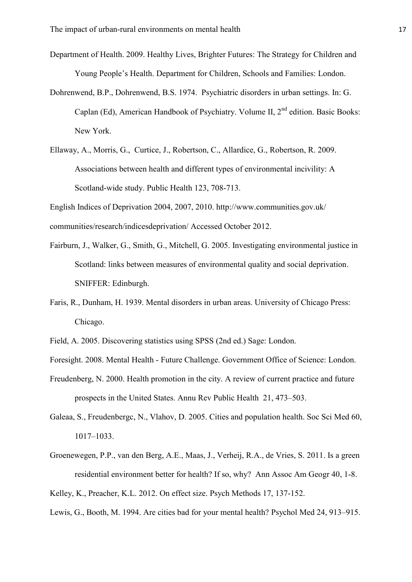- Department of Health. 2009. Healthy Lives, Brighter Futures: The Strategy for Children and Young People's Health. Department for Children, Schools and Families: London.
- Dohrenwend, B.P., Dohrenwend, B.S. 1974. Psychiatric disorders in urban settings. In: G. Caplan (Ed), American Handbook of Psychiatry. Volume II, 2<sup>nd</sup> edition. Basic Books: New York.
- Ellaway, A., Morris, G., Curtice, J., Robertson, C., Allardice, G., Robertson, R. 2009. Associations between health and different types of environmental incivility: A Scotland-wide study. Public Health 123, 708-713.

English Indices of Deprivation 2004, 2007, 2010. http://www.communities.gov.uk/ communities/research/indicesdeprivation/ Accessed October 2012.

- Fairburn, J., Walker, G., Smith, G., Mitchell, G. 2005. Investigating environmental justice in Scotland: links between measures of environmental quality and social deprivation. SNIFFER: Edinburgh.
- Faris, R., Dunham, H. 1939. Mental disorders in urban areas. University of Chicago Press: Chicago.
- Field, A. 2005. Discovering statistics using SPSS (2nd ed.) Sage: London.
- Foresight. 2008. Mental Health Future Challenge. Government Office of Science: London.
- Freudenberg, N. 2000. Health promotion in the city. A review of current practice and future prospects in the United States. Annu Rev Public Health 21, 473–503.
- Galeaa, S., Freudenbergc, N., Vlahov, D. 2005. Cities and population health. Soc Sci Med 60, 1017–1033.
- Groenewegen, P.P., van den Berg, A.E., Maas, J., Verheij, R.A., de Vries, S. 2011. Is a green residential environment better for health? If so, why? Ann Assoc Am Geogr 40, 1-8.
- Kelley, K., Preacher, K.L. 2012. On effect size. Psych Methods 17, 137-152.
- Lewis, G., Booth, M. 1994. Are cities bad for your mental health? Psychol Med 24, 913–915.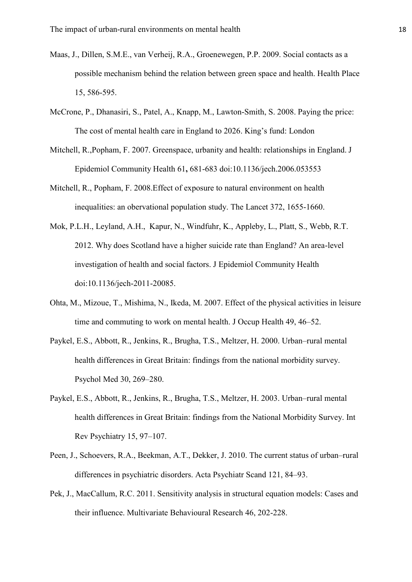- Maas, J., Dillen, S.M.E., van Verheij, R.A., Groenewegen, P.P. 2009. Social contacts as a possible mechanism behind the relation between green space and health. Health Place 15, 586-595.
- McCrone, P., Dhanasiri, S., Patel, A., Knapp, M., Lawton-Smith, S. 2008. Paying the price: The cost of mental health care in England to 2026. King's fund: London
- Mitchell, R.,Popham, F. 2007. Greenspace, urbanity and health: relationships in England. J Epidemiol Community Health 61**,** 681-683 doi:10.1136/jech.2006.053553
- Mitchell, R., Popham, F. 2008.Effect of exposure to natural environment on health inequalities: an obervational population study. The Lancet 372, 1655-1660.
- Mok, P.L.H., Leyland, A.H., Kapur, N., Windfuhr, K., Appleby, L., Platt, S., Webb, R.T. 2012. Why does Scotland have a higher suicide rate than England? An area-level investigation of health and social factors. J Epidemiol Community Health doi:10.1136/jech-2011-20085.
- [Ohta,](http://www.ncbi.nlm.nih.gov/pubmed?term=Ohta%20M%5BAuthor%5D&cauthor=true&cauthor_uid=17314466) M., [Mizoue,](http://www.ncbi.nlm.nih.gov/pubmed?term=Mizoue%20T%5BAuthor%5D&cauthor=true&cauthor_uid=17314466) T., [Mishima,](http://www.ncbi.nlm.nih.gov/pubmed?term=Mishima%20N%5BAuthor%5D&cauthor=true&cauthor_uid=17314466) N., [Ikeda,](http://www.ncbi.nlm.nih.gov/pubmed?term=Ikeda%20M%5BAuthor%5D&cauthor=true&cauthor_uid=17314466) M. 2007. Effect of the physical activities in leisure time and commuting to work on mental health. J Occup Health 49, 46–52.
- Paykel, E.S., Abbott, R., Jenkins, R., Brugha, T.S., Meltzer, H. 2000. Urban–rural mental health differences in Great Britain: findings from the national morbidity survey. Psychol Med 30, 269–280.
- Paykel, E.S., Abbott, R., Jenkins, R., Brugha, T.S., Meltzer, H. 2003. Urban–rural mental health differences in Great Britain: findings from the National Morbidity Survey. Int Rev Psychiatry 15, 97–107.
- Peen, J., Schoevers, R.A., Beekman, A.T., Dekker, J. 2010. The current status of urban–rural differences in psychiatric disorders. Acta Psychiatr Scand 121, 84–93.
- Pek, J., MacCallum, R.C. 2011. Sensitivity analysis in structural equation models: Cases and their influence. Multivariate Behavioural Research 46, 202-228.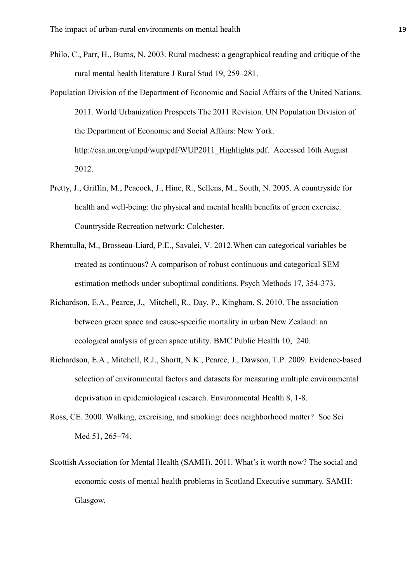- Philo, C., Parr, H., Burns, N. 2003. Rural madness: a geographical reading and critique of the rural mental health literature J Rural Stud 19, 259–281.
- Population Division of the Department of Economic and Social Affairs of the United Nations. 2011. World Urbanization Prospects The 2011 Revision. UN Population Division of the Department of Economic and Social Affairs: New York. http://esa.un.org/unpd/wup/pdf/WUP2011 Highlights.pdf. Accessed 16th August 2012.
- Pretty, J., Griffin, M., Peacock, J., Hine, R., Sellens, M., South, N. 2005. A countryside for health and well-being: the physical and mental health benefits of green exercise. Countryside Recreation network: Colchester.
- Rhemtulla, M., Brosseau-Liard, P.E., Savalei, V. 2012.When can categorical variables be treated as continuous? A comparison of robust continuous and categorical SEM estimation methods under suboptimal conditions. Psych Methods 17, 354-373.
- Richardson, E.A., Pearce, J., Mitchell, R., Day, P., Kingham, S. 2010. The association between green space and cause-specific mortality in urban New Zealand: an ecological analysis of green space utility. BMC Public Health 10, 240.
- Richardson, E.A., Mitchell, R.J., Shortt, N.K., Pearce, J., Dawson, T.P. 2009. Evidence-based selection of environmental factors and datasets for measuring multiple environmental deprivation in epidemiological research. Environmental Health 8, 1-8.
- Ross, CE. 2000. Walking, exercising, and smoking: does neighborhood matter? Soc Sci Med 51, 265–74.
- Scottish Association for Mental Health (SAMH). 2011. What's it worth now? The social and economic costs of mental health problems in Scotland Executive summary. SAMH: Glasgow.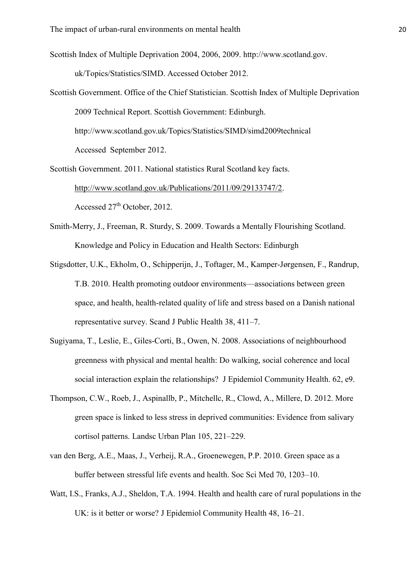Scottish Index of Multiple Deprivation 2004, 2006, 2009. http://www.scotland.gov.

uk/Topics/Statistics/SIMD. Accessed October 2012.

Scottish Government. Office of the Chief Statistician. Scottish Index of Multiple Deprivation 2009 Technical Report. Scottish Government: Edinburgh. http://www.scotland.gov.uk/Topics/Statistics/SIMD/simd2009technical Accessed September 2012.

Scottish Government. 2011. National statistics Rural Scotland key facts. [http://www.scotland.gov.uk/Publications/2011/09/29133747/2.](http://www.scotland.gov.uk/Publications/2011/09/29133747/2) Accessed 27<sup>th</sup> October, 2012.

- Smith-Merry, J., Freeman, R. Sturdy, S. 2009. Towards a Mentally Flourishing Scotland. Knowledge and Policy in Education and Health Sectors: Edinburgh
- [Stigsdotter,](http://www.ncbi.nlm.nih.gov/pubmed?term=Stigsdotter%20UK%5BAuthor%5D&cauthor=true&cauthor_uid=20413584) U.K., [Ekholm,](http://www.ncbi.nlm.nih.gov/pubmed?term=Ekholm%20O%5BAuthor%5D&cauthor=true&cauthor_uid=20413584) O., [Schipperijn,](http://www.ncbi.nlm.nih.gov/pubmed?term=Schipperijn%20J%5BAuthor%5D&cauthor=true&cauthor_uid=20413584) J., [Toftager,](http://www.ncbi.nlm.nih.gov/pubmed?term=Toftager%20M%5BAuthor%5D&cauthor=true&cauthor_uid=20413584) M., [Kamper-Jørgensen,](http://www.ncbi.nlm.nih.gov/pubmed?term=Kamper-J%C3%B8rgensen%20F%5BAuthor%5D&cauthor=true&cauthor_uid=20413584) F., [Randrup,](http://www.ncbi.nlm.nih.gov/pubmed?term=Randrup%20TB%5BAuthor%5D&cauthor=true&cauthor_uid=20413584) [T.B.](http://www.ncbi.nlm.nih.gov/pubmed?term=Randrup%20TB%5BAuthor%5D&cauthor=true&cauthor_uid=20413584) 2010. Health promoting outdoor environments—associations between green space, and health, health-related quality of life and stress based on a Danish national representative survey. Scand J Public Health 38, 411–7.
- Sugiyama, T., Leslie, E., Giles-Corti, B., Owen, N. 2008. Associations of neighbourhood greenness with physical and mental health: Do walking, social coherence and local social interaction explain the relationships? J Epidemiol Community Health. 62, e9.
- Thompson, C.W., Roeb, J., Aspinallb, P., Mitchellc, R., Clowd, A., Millere, D. 2012. More green space is linked to less stress in deprived communities: Evidence from salivary cortisol patterns. Landsc Urban Plan 105, 221–229.
- van den [Berg,](http://www.ncbi.nlm.nih.gov/pubmed?term=van%20den%20Berg%20AE%5BAuthor%5D&cauthor=true&cauthor_uid=20163905) A.E., [Maas,](http://www.ncbi.nlm.nih.gov/pubmed?term=Maas%20J%5BAuthor%5D&cauthor=true&cauthor_uid=20163905) J., [Verheij,](http://www.ncbi.nlm.nih.gov/pubmed?term=Verheij%20RA%5BAuthor%5D&cauthor=true&cauthor_uid=20163905) R.A., [Groenewegen,](http://www.ncbi.nlm.nih.gov/pubmed?term=Groenewegen%20PP%5BAuthor%5D&cauthor=true&cauthor_uid=20163905) P.P. 2010. Green space as a buffer between stressful life events and health. Soc Sci Med 70, 1203–10.
- Watt, I.S., Franks, A.J., Sheldon, T.A. 1994. Health and health care of rural populations in the UK: is it better or worse? J Epidemiol Community Health 48, 16–21.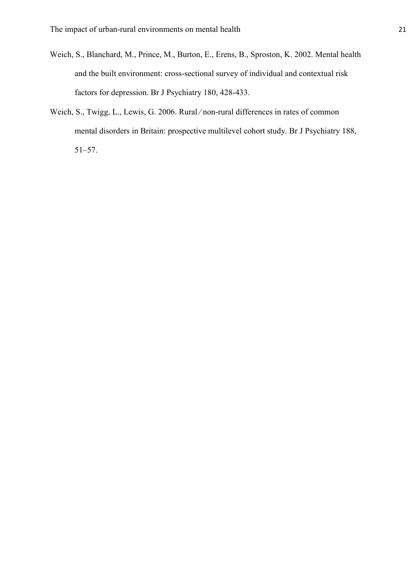- Weich, S., Blanchard, M., Prince, M., Burton, E., Erens, B., Sproston, K. 2002. Mental health and the built environment: cross-sectional survey of individual and contextual risk factors for depression. Br J Psychiatry 180, 428-433.
- Weich, S., Twigg, L., Lewis, G. 2006. Rural/non-rural differences in rates of common mental disorders in Britain: prospective multilevel cohort study. Br J Psychiatry 188, 51–57.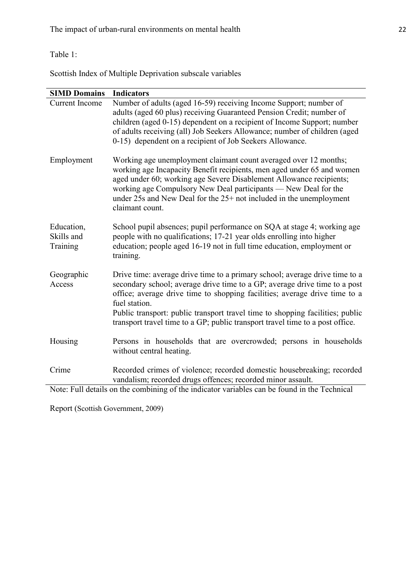## Table 1:

Scottish Index of Multiple Deprivation subscale variables

| <b>SIMD Domains</b>                  | <b>Indicators</b>                                                                                                                                                                                                                                                                                                                                                                                                          |
|--------------------------------------|----------------------------------------------------------------------------------------------------------------------------------------------------------------------------------------------------------------------------------------------------------------------------------------------------------------------------------------------------------------------------------------------------------------------------|
| <b>Current Income</b>                | Number of adults (aged 16-59) receiving Income Support; number of<br>adults (aged 60 plus) receiving Guaranteed Pension Credit; number of<br>children (aged 0-15) dependent on a recipient of Income Support; number<br>of adults receiving (all) Job Seekers Allowance; number of children (aged<br>0-15) dependent on a recipient of Job Seekers Allowance.                                                              |
| Employment                           | Working age unemployment claimant count averaged over 12 months;<br>working age Incapacity Benefit recipients, men aged under 65 and women<br>aged under 60; working age Severe Disablement Allowance recipients;<br>working age Compulsory New Deal participants — New Deal for the<br>under 25s and New Deal for the 25+ not included in the unemployment<br>claimant count.                                             |
| Education,<br>Skills and<br>Training | School pupil absences; pupil performance on SQA at stage 4; working age<br>people with no qualifications; 17-21 year olds enrolling into higher<br>education; people aged 16-19 not in full time education, employment or<br>training.                                                                                                                                                                                     |
| Geographic<br>Access                 | Drive time: average drive time to a primary school; average drive time to a<br>secondary school; average drive time to a GP; average drive time to a post<br>office; average drive time to shopping facilities; average drive time to a<br>fuel station.<br>Public transport: public transport travel time to shopping facilities; public<br>transport travel time to a GP; public transport travel time to a post office. |
| Housing                              | Persons in households that are overcrowded; persons in households<br>without central heating.                                                                                                                                                                                                                                                                                                                              |
| Crime                                | Recorded crimes of violence; recorded domestic housebreaking; recorded<br>vandalism; recorded drugs offences; recorded minor assault.                                                                                                                                                                                                                                                                                      |
|                                      | Note: Full details on the combining of the indicator variables can be found in the Technical                                                                                                                                                                                                                                                                                                                               |

Report (Scottish Government, 2009)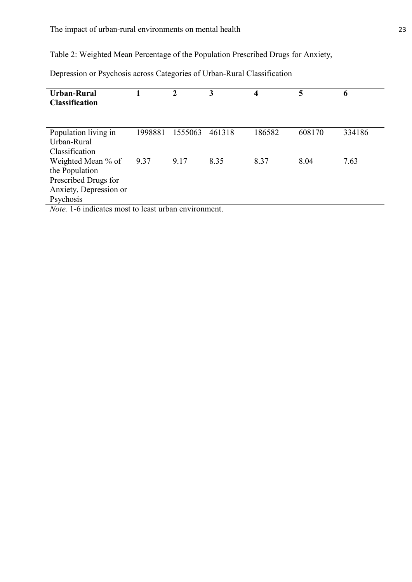Table 2: Weighted Mean Percentage of the Population Prescribed Drugs for Anxiety,

| <b>Urban-Rural</b><br><b>Classification</b>        |         |         | 3      | 4      | 5      | 6      |  |
|----------------------------------------------------|---------|---------|--------|--------|--------|--------|--|
|                                                    |         |         |        |        |        |        |  |
| Population living in                               | 1998881 | 1555063 | 461318 | 186582 | 608170 | 334186 |  |
| Urban-Rural                                        |         |         |        |        |        |        |  |
| Classification                                     |         |         |        |        |        |        |  |
| Weighted Mean % of                                 | 9.37    | 9.17    | 8.35   | 8.37   | 8.04   | 7.63   |  |
| the Population                                     |         |         |        |        |        |        |  |
| Prescribed Drugs for                               |         |         |        |        |        |        |  |
| Anxiety, Depression or                             |         |         |        |        |        |        |  |
| Psychosis                                          |         |         |        |        |        |        |  |
| Note 1 6 indicates most to least urban environment |         |         |        |        |        |        |  |

Depression or Psychosis across Categories of Urban-Rural Classification

*Note.* 1-6 indicates most to least urban environment.